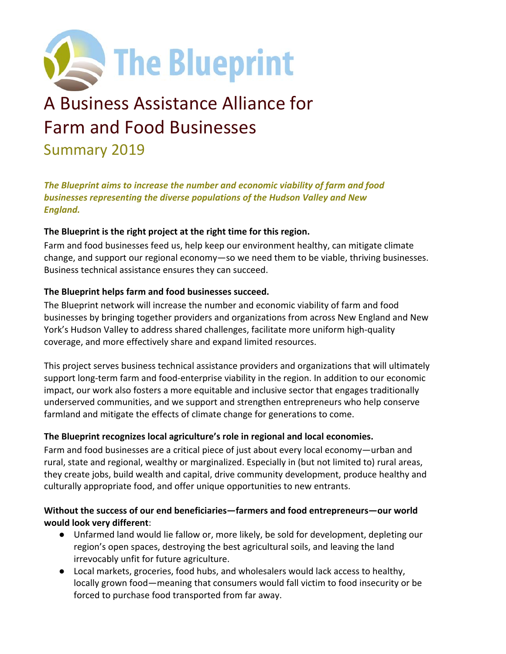

# A Business Assistance Alliance for Farm and Food Businesses Summary 2019

*The Blueprint aims to increase the number and economic viability of farm and food businesses representing the diverse populations of the Hudson Valley and New England.*

#### **The Blueprint is the right project at the right time for this region.**

Farm and food businesses feed us, help keep our environment healthy, can mitigate climate change, and support our regional economy—so we need them to be viable, thriving businesses. Business technical assistance ensures they can succeed.

#### **The Blueprint helps farm and food businesses succeed.**

The Blueprint network will increase the number and economic viability of farm and food businesses by bringing together providers and organizations from across New England and New York's Hudson Valley to address shared challenges, facilitate more uniform high‐quality coverage, and more effectively share and expand limited resources.

This project serves business technical assistance providers and organizations that will ultimately support long-term farm and food-enterprise viability in the region. In addition to our economic impact, our work also fosters a more equitable and inclusive sector that engages traditionally underserved communities, and we support and strengthen entrepreneurs who help conserve farmland and mitigate the effects of climate change for generations to come.

# **The Blueprint recognizes local agriculture's role in regional and local economies.**

Farm and food businesses are a critical piece of just about every local economy—urban and rural, state and regional, wealthy or marginalized. Especially in (but not limited to) rural areas, they create jobs, build wealth and capital, drive community development, produce healthy and culturally appropriate food, and offer unique opportunities to new entrants.

# **Without the success of our end beneficiaries—farmers and food entrepreneurs—our world would look very different**:

- Unfarmed land would lie fallow or, more likely, be sold for development, depleting our region's open spaces, destroying the best agricultural soils, and leaving the land irrevocably unfit for future agriculture.
- Local markets, groceries, food hubs, and wholesalers would lack access to healthy, locally grown food—meaning that consumers would fall victim to food insecurity or be forced to purchase food transported from far away.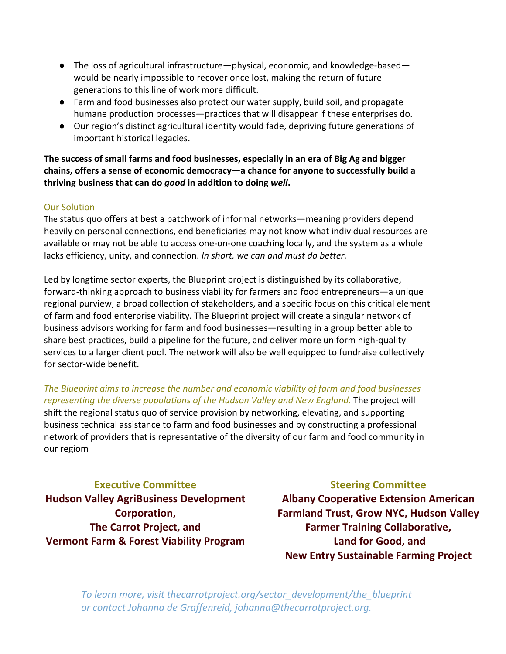- The loss of agricultural infrastructure—physical, economic, and knowledge-based would be nearly impossible to recover once lost, making the return of future generations to this line of work more difficult.
- Farm and food businesses also protect our water supply, build soil, and propagate humane production processes—practices that will disappear if these enterprises do.
- Our region's distinct agricultural identity would fade, depriving future generations of important historical legacies.

**The success of small farms and food businesses, especially in an era of Big Ag and bigger chains, offers a sense of economic democracy—a chance for anyone to successfully build a thriving business that can do** *good* **in addition to doing** *well***.**

#### Our Solution

The status quo offers at best a patchwork of informal networks—meaning providers depend heavily on personal connections, end beneficiaries may not know what individual resources are available or may not be able to access one‐on‐one coaching locally, and the system as a whole lacks efficiency, unity, and connection. *In short, we can and must do better.*

Led by longtime sector experts, the Blueprint project is distinguished by its collaborative, forward‐thinking approach to business viability for farmers and food entrepreneurs—a unique regional purview, a broad collection of stakeholders, and a specific focus on this critical element of farm and food enterprise viability. The Blueprint project will create a singular network of business advisors working for farm and food businesses—resulting in a group better able to share best practices, build a pipeline for the future, and deliver more uniform high‐quality services to a larger client pool. The network will also be well equipped to fundraise collectively for sector‐wide benefit.

# *The Blueprint aims to increase the number and economic viability of farm and food businesses representing the diverse populations of the Hudson Valley and New England.* The project will shift the regional status quo of service provision by networking, elevating, and supporting business technical assistance to farm and food businesses and by constructing a professional network of providers that is representative of the diversity of our farm and food community in our regiom

# **Executive Committee**

**Hudson Valley AgriBusiness Development Corporation, The Carrot Project, and Vermont Farm & Forest Viability Program**

# **Steering Committee**

**Albany Cooperative Extension American Farmland Trust, Grow NYC, Hudson Valley Farmer Training Collaborative, Land for Good, and New Entry Sustainable Farming Project**

*To learn more, visit thecarrotproject.org/sector\_development/the\_blueprint or contact Johanna de Graffenreid, johanna@thecarrotproject.org.*